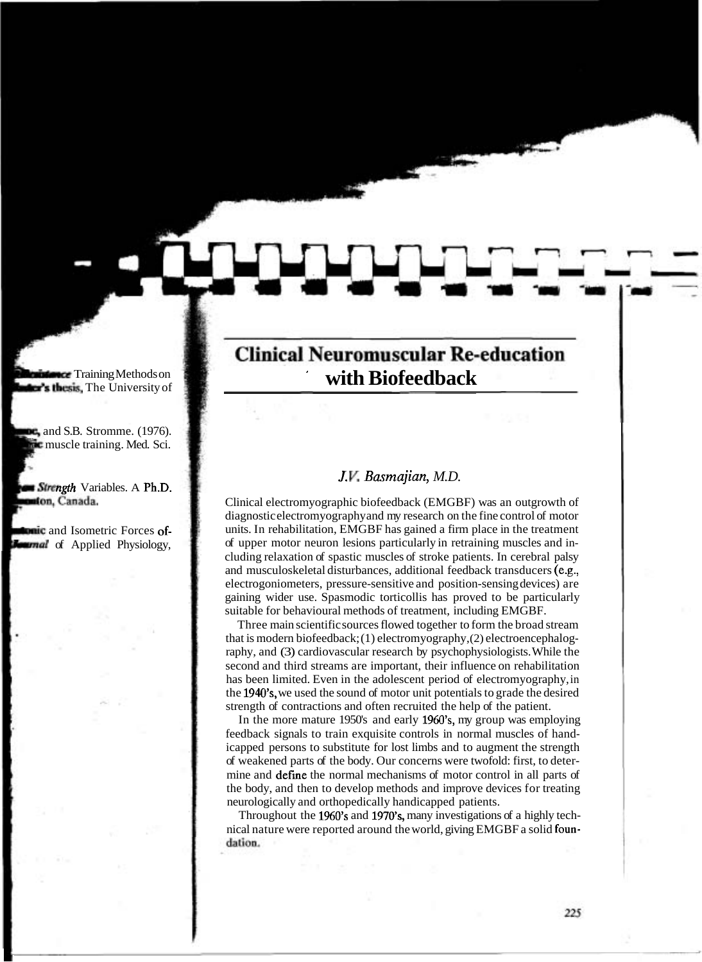# **Clinical Neuromuscular Re-education with Biofeedback**

## *J.* **I/.** *Basmajian, M.D.*

Clinical electromyographic biofeedback (EMGBF) was an outgrowth of diagnostic electromyography and my research on the fine control of motor units. In rehabilitation, EMGBF has gained a firm place in the treatment of upper motor neuron lesions particularly in retraining muscles and including relaxation of spastic muscles of stroke patients. In cerebral palsy and musculoskeletal disturbances, additional feedback transducers (e.g., electrogoniometers, pressure-sensitive and position-sensing devices) are gaining wider use. Spasmodic torticollis has proved to be particularly suitable for behavioural methods of treatment, including EMGBF.

Three main scientific sources flowed together to form the broad stream that is modern biofeedback; (1) electromyography, (2) electroencephalography, and (3) cardiovascular research by psychophysiologists. While the second and third streams are important, their influence on rehabilitation has been limited. Even in the adolescent period of electromyography, in the 1940's, we used the sound of motor unit potentials to grade the desired strength of contractions and often recruited the help of the patient.

In the more mature 1950's and early 1960's, my group was employing feedback signals to train exquisite controls in normal muscles of handicapped persons to substitute for lost limbs and to augment the strength of weakened parts of the body. Our concerns were twofold: first, to determine and defme the normal mechanisms of motor control in all parts of the body, and then to develop methods and improve devices for treating neurologically and orthopedically handicapped patients.

Throughout the 1960's and 1970's, many investigations of a highly technical nature were reported around the world, giving EMGBF a solid foun dation.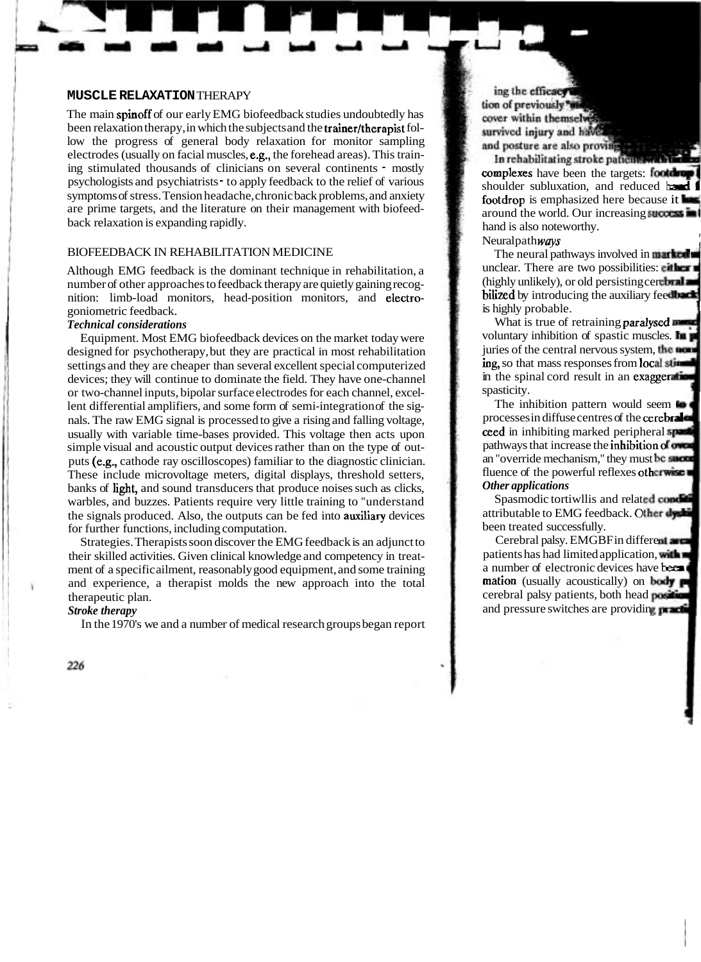#### **MUSCLE RELAXATION** THERAPY

The main spinoff of our early EMG biofeedback studies undoubtedly has been relaxation therapy, in which the subjects and the **trainer/therapist** follow the progress of general body relaxation for monitor sampling electrodes (usually on facial muscles, e.g., the forehead areas). This training stimulated thousands of clinicians on several continents - mostly psychologists and psychiatrists - to apply feedback to the relief of various symptoms of stress. Tension headache, chronic back problems, and anxiety are prime targets, and the literature on their management with biofeedback relaxation is expanding rapidly.

### BIOFEEDBACK IN REHABILITATION MEDICINE

Although EMG feedback is the dominant technique in rehabilitation, a number of other approaches to feedback therapy are quietly gaining recognition: limb-load monitors, head-position monitors, and electrogoniometric feedback.

### *Technical considerations*

Equipment. Most EMG biofeedback devices on the market today were designed for psychotherapy, but they are practical in most rehabilitation settings and they are cheaper than several excellent special computerized devices; they will continue to dominate the field. They have one-channel or two-channel inputs, bipolar surface electrodes for each channel, excellent differential amplifiers, and some form of semi-integration of the signals. The raw EMG signal is processed to give a rising and falling voltage, usually with variable time-bases provided. This voltage then acts upon simple visual and acoustic output devices rather than on the type of outputs (e.g., cathode ray oscilloscopes) familiar to the diagnostic clinician. These include microvoltage meters, digital displays, threshold setters, banks of ligbt, and sound transducers that produce noises such as clicks, warbles, and buzzes. Patients require very little training to "understand the signals produced. Also, the outputs can be fed into auxiliary devices for further functions, including computation.

Strategies. Therapists soon discover the EMG feedback is an adjunct to their skilled activities. Given clinical knowledge and competency in treatment of a specific ailment, reasonably good equipment, and some training and experience, a therapist molds the new approach into the total therapeutic plan.

#### *Stroke therapy*

In the 1970's we and a number of medical research groups began report